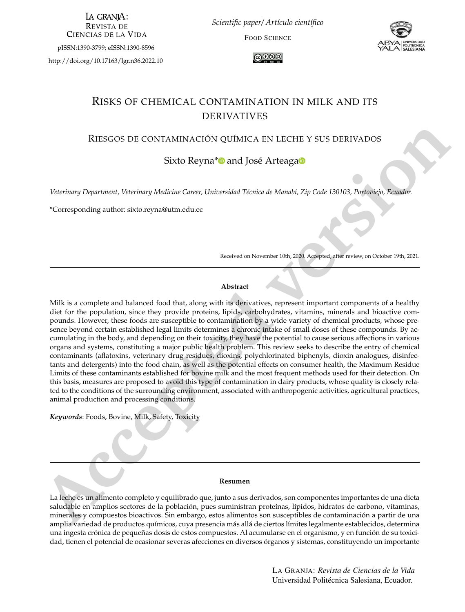LA GRANIA: **REVISTA DE CIENCIAS DE LA VIDA** 

pISSN:1390-3799; eISSN:1390-8596

<http://doi.org/10.17163/lgr.n36.2022.10>

*Scientific paper/ Artículo científico*

FOOD SCIENCE



∣ര⊙®

# RISKS OF CHEMICAL CONTAMINATION IN MILK AND ITS DERIVATIVES

#### RIESGOS DE CONTAMINACIÓN QUÍMICA EN LECHE Y SUS DERIVADOS

## Sixto Reyna<sup>[\\*](http://orcid.org/0000-0002-3950-9993)</sup> and José Arteaga<sup>®</sup>

*Veterinary Department, Veterinary Medicine Career, Universidad Técnica de Manabí, Zip Code 130103, Portoviejo, Ecuador.*

\*Corresponding author: <sixto.reyna@utm.edu.ec>

Received on November 10th, 2020. Accepted, after review, on October 19th, 2021.

#### **Abstract**

RIFSCOS DE CONTAMINACION QUIMICA FR IECHE Y SUS DERIVADOS<br>
Sixto Reyna<sup>+10</sup> and José Arteagas<sup>5</sup><br> *Veterinary Dapartment, Veterinary Medicine Gener, Universided Tetricol of Member, Zap Code 130763, Performany Control<br> Abs* Milk is a complete and balanced food that, along with its derivatives, represent important components of a healthy diet for the population, since they provide proteins, lipids, carbohydrates, vitamins, minerals and bioactive compounds. However, these foods are susceptible to contamination by a wide variety of chemical products, whose presence beyond certain established legal limits determines a chronic intake of small doses of these compounds. By accumulating in the body, and depending on their toxicity, they have the potential to cause serious affections in various organs and systems, constituting a major public health problem. This review seeks to describe the entry of chemical contaminants (aflatoxins, veterinary drug residues, dioxins, polychlorinated biphenyls, dioxin analogues, disinfectants and detergents) into the food chain, as well as the potential effects on consumer health, the Maximum Residue Limits of these contaminants established for bovine milk and the most frequent methods used for their detection. On this basis, measures are proposed to avoid this type of contamination in dairy products, whose quality is closely related to the conditions of the surrounding environment, associated with anthropogenic activities, agricultural practices, animal production and processing conditions.

*Keywords*: Foods, Bovine, Milk, Safety, Toxicity

#### **Resumen**

La leche es un alimento completo y equilibrado que, junto a sus derivados, son componentes importantes de una dieta saludable en amplios sectores de la población, pues suministran proteínas, lípidos, hidratos de carbono, vitaminas, minerales y compuestos bioactivos. Sin embargo, estos alimentos son susceptibles de contaminación a partir de una amplia variedad de productos químicos, cuya presencia más allá de ciertos límites legalmente establecidos, determina una ingesta crónica de pequeñas dosis de estos compuestos. Al acumularse en el organismo, y en función de su toxicidad, tienen el potencial de ocasionar severas afecciones en diversos órganos y sistemas, constituyendo un importante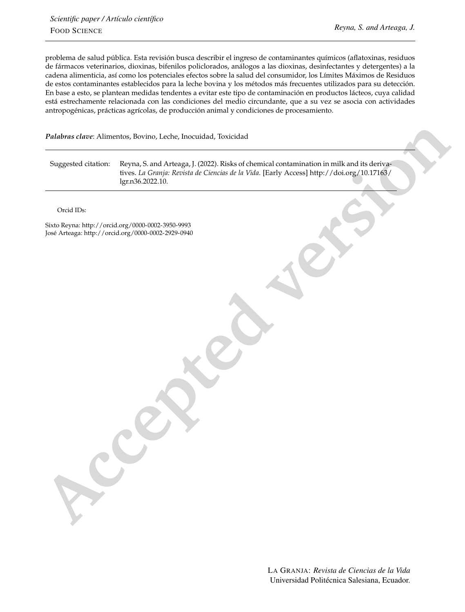problema de salud pública. Esta revisión busca describir el ingreso de contaminantes químicos (aflatoxinas, residuos de fármacos veterinarios, dioxinas, bifenilos policlorados, análogos a las dioxinas, desinfectantes y detergentes) a la cadena alimenticia, así como los potenciales efectos sobre la salud del consumidor, los Límites Máximos de Residuos de estos contaminantes establecidos para la leche bovina y los métodos más frecuentes utilizados para su detección. En base a esto, se plantean medidas tendentes a evitar este tipo de contaminación en productos lácteos, cuya calidad está estrechamente relacionada con las condiciones del medio circundante, que a su vez se asocia con actividades antropogénicas, prácticas agrícolas, de producción animal y condiciones de procesamiento.

*Palabras clave*: Alimentos, Bovino, Leche, Inocuidad, Toxicidad

Puladrus clave: Alimentos, Boyino, Lethe, Inxexidial, Toxicidad<br>
Suggested citat[io](http://doi.org/10.17163/lgr.n36.2022.10)n: Reputs 5 and Artenga, 1 CO22; Risis of Chemical contamination in milk and the derivation<br>
Inc. b. D. Correction Reputs of Clauses of the Suggested citation: Reyna, S. and Arteaga, J. (2022). Risks of chemical contamination in milk and its derivatives. *La Granja: Revista de Ciencias de la Vida.* [Early Access] http://doi.org/10.17163/ [lgr.n36.2022.10.](http://doi.org/10.17163/lgr.n36.2022.10)

Orcid IDs:

Sixto Reyna: <http://orcid.org/0000-0002-3950-9993> José Arteaga: <http://orcid.org/0000-0002-2929-0940>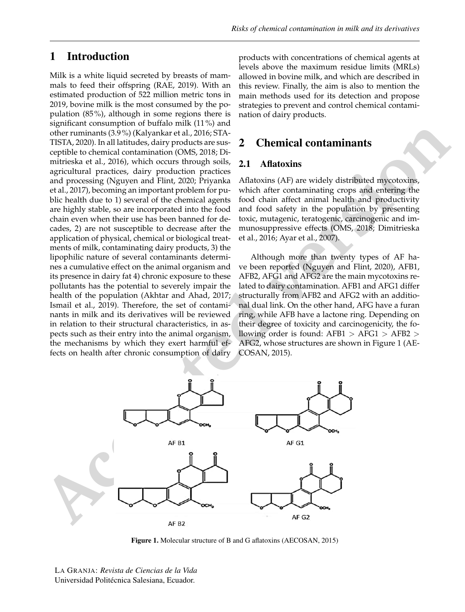## 1 Introduction

Milk is a white liquid secreted by breasts of mammals to feed their offspring [\(RAE,](#page-12-0) [2019\)](#page-12-0). With an estimated production of 522 million metric tons in 2019, bovine milk is the most consumed by the population (85%), although in some regions there is significant consumption of buffalo milk (11%) and other ruminants (3.9%) [\(Kalyankar et al.,](#page-11-0) [2016;](#page-11-0) [STA-](#page-12-1)[TISTA,](#page-12-1) [2020\)](#page-12-1). In all latitudes, dairy products are susceptible to chemical contamination [\(OMS,](#page-11-1) [2018;](#page-11-1) [Di](#page-10-0)[mitrieska et al.,](#page-10-0) [2016\)](#page-10-0), which occurs through soils, agricultural practices, dairy production practices and processing [\(Nguyen and Flint,](#page-11-2) [2020;](#page-11-2) [Priyanka](#page-12-2) [et al.,](#page-12-2) [2017\)](#page-12-2), becoming an important problem for public health due to 1) several of the chemical agents are highly stable, so are incorporated into the food chain even when their use has been banned for decades, 2) are not susceptible to decrease after the application of physical, chemical or biological treatments of milk, contaminating dairy products, 3) the lipophilic nature of several contaminants determines a cumulative effect on the animal organism and its presence in dairy fat 4) chronic exposure to these pollutants has the potential to severely impair the health of the population (Akhtar and Ahad, 2017; Ismail et al., 2019). Therefore, the set of contaminants in milk and its derivatives will be reviewed in relation to their structural characteristics, in aspects such as their entry into the animal organism, the mechanisms by which they exert harmful effects on health after chronic consumption of dairy

products with concentrations of chemical agents at levels above the maximum residue limits (MRLs) allowed in bovine milk, and which are described in this review. Finally, the aim is also to mention the main methods used for its detection and propose strategies to prevent and control chemical contamination of dairy products.

## 2 Chemical contaminants

#### 2.1 Aflatoxins

Aflatoxins (AF) are widely distributed mycotoxins, which after contaminating crops and entering the food chain affect animal health and productivity and food safety in the population by presenting toxic, mutagenic, teratogenic, carcinogenic and immunosuppressive effects (OMS, 2018; Dimitrieska [et al.,](#page-10-0) [2016;](#page-10-0) Ayar et al., 2007).

Although more than twenty types of AF have been reported (Nguyen and Flint, 2020), AFB1, AFB2, AFG1 and AFG2 are the main mycotoxins related to dairy contamination. AFB1 and AFG1 differ structurally from AFB2 and AFG2 with an additional dual link. On the other hand, AFG have a furan ring, while AFB have a lactone ring. Depending on their degree of toxicity and carcinogenicity, the following order is found:  $AFB1 > AFG1 > AFB2 >$ AFG2, whose structures are shown in Figure 1 [\(AE-](#page-9-2)COSAN, [2015\)](#page-9-2).



Figure 1. Molecular structure of B and G aflatoxins [\(AECOSAN,](#page-9-2) [2015\)](#page-9-2)

LA GRANJA: *Revista de Ciencias de la Vida* Universidad Politécnica Salesiana, Ecuador. <sup>3</sup>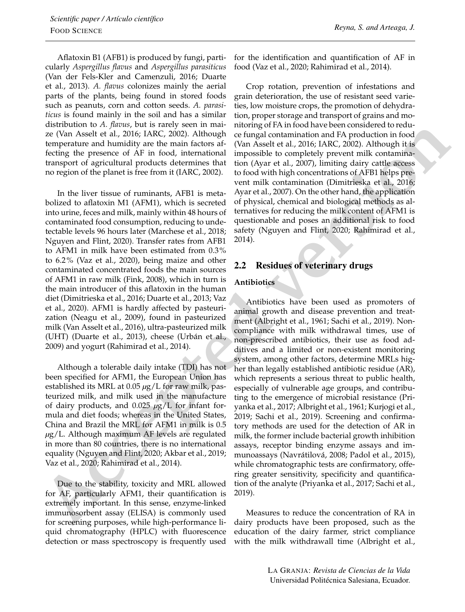Aflatoxin B1 (AFB1) is produced by fungi, particularly *Aspergillus flavus* and *Aspergillus parasiticus* [\(Van der Fels-Kler and Camenzuli,](#page-13-0) [2016;](#page-13-0) [Duarte](#page-10-1) [et al.,](#page-10-1) [2013\)](#page-10-1). *A. flavus* colonizes mainly the aerial parts of the plants, being found in stored foods such as peanuts, corn and cotton seeds. *A. parasiticus* is found mainly in the soil and has a similar distribution to *A. flavus*, but is rarely seen in maize [\(Van Asselt et al.,](#page-13-1) [2016;](#page-13-1) [IARC,](#page-11-4) [2002\)](#page-11-4). Although temperature and humidity are the main factors affecting the presence of AF in food, international transport of agricultural products determines that no region of the planet is free from it [\(IARC,](#page-11-4) [2002\)](#page-11-4).

In the liver tissue of ruminants, AFB1 is metabolized to aflatoxin M1 (AFM1), which is secreted into urine, feces and milk, mainly within 48 hours of contaminated food consumption, reducing to undetectable levels 96 hours later [\(Marchese et al.,](#page-11-5) [2018;](#page-11-5) [Nguyen and Flint,](#page-11-2) [2020\)](#page-11-2). Transfer rates from AFB1 to AFM1 in milk have been estimated from 0.3% to 6.2% [\(Vaz et al.,](#page-13-2) [2020\)](#page-13-2), being maize and other contaminated concentrated foods the main sources of AFM1 in raw milk [\(Fink,](#page-10-2) [2008\)](#page-10-2), which in turn is the main introducer of this aflatoxin in the human diet (Dimitrieska et al., 2016; Duarte et al., 2013; Vaz et al., 2020). AFM1 is hardly affected by pasteurization (Neagu et al., 2009), found in pasteurized milk (Van Asselt et al., 2016), ultra-pasteurized milk (UHT) (Duarte et al., 2013), cheese (Urbán et al., 2009) and yogurt (Rahimirad et al., 2014).

Although a tolerable daily intake (TDI) has not been specified for AFM1, the European Union has established its MRL at 0.05 *µ*g/L for raw milk, pasteurized milk, and milk used in the manufacture of dairy products, and 0.025 *µ*g/L for infant formula and diet foods; whereas in the United States, China and Brazil the MRL for AFM1 in milk is 0.5 *µ*g/L. Although maximum AF levels are regulated in more than 80 countries, there is no international equality (Nguyen and Flint, 2020; Akbar et al., 2019; Vaz et al., 2020; Rahimirad et al., 2014).

Due to the stability, toxicity and MRL allowed for AF, particularly AFM1, their quantification is extremely important. In this sense, enzyme-linked immunosorbent assay (ELISA) is commonly used for screening purposes, while high-performance liquid chromatography (HPLC) with fluorescence detection or mass spectroscopy is frequently used for the identification and quantification of AF in food [\(Vaz et al.,](#page-13-2) [2020;](#page-13-2) [Rahimirad et al.,](#page-12-4) [2014\)](#page-12-4).

Crop rotation, prevention of infestations and grain deterioration, the use of resistant seed varieties, low moisture crops, the promotion of dehydration, proper storage and transport of grains and monitoring of FA in food have been considered to reduce fungal contamination and FA production in food [\(Van Asselt et al.,](#page-13-1) 2016; IARC, 2002). Although it is impossible to completely prevent milk contamination [\(Ayar et al.,](#page-9-1) 2007), limiting dairy cattle access to food with high concentrations of AFB1 helps prevent milk contamination (Dimitrieska et al., 2016; [Ayar et al.,](#page-9-1) 2007). On the other hand, the application of physical, chemical and biological methods as alternatives for reducing the milk content of AFM1 is questionable and poses an additional risk to food safety (Nguyen and Flint, 2020; Rahimirad et al., [2014\)](#page-12-4).

### 2.2 Residues of veterinary drugs

#### **Antibiotics**

**Exhibition of the parti[c](#page-12-4)ic of [t](#page-12-4)h[e](#page-12-3) alternoi[d](#page-13-2) and the most moneta[r](#page-11-2)i[s](#page-12-4)tic to the specifical of the component of the content of the component of the incomponent of the incomponent of the incomponent of the incomponent of the i** Antibiotics have been used as promoters of animal growth and disease prevention and treatment [\(Albright et al.,](#page-9-4) [1961;](#page-9-4) [Sachi et al.,](#page-12-5) [2019\)](#page-12-5). Noncompliance with milk withdrawal times, use of non-prescribed antibiotics, their use as food additives and a limited or non-existent monitoring system, among other factors, determine MRLs higher than legally established antibiotic residue (AR), which represents a serious threat to public health, especially of vulnerable age groups, and contributing to the emergence of microbial resistance [\(Pri](#page-12-2)yanka et al., [2017;](#page-12-2) [Albright et al.,](#page-9-4) [1961;](#page-9-4) [Kurjogi et al.,](#page-11-7) 2019; [Sachi et al.,](#page-12-5) [2019\)](#page-12-5). Screening and confirmatory methods are used for the detection of AR in milk, the former include bacterial growth inhibition assays, receptor binding enzyme assays and immunoassays [\(Navrátilová,](#page-11-8) [2008;](#page-11-8) [Padol et al.,](#page-11-9) [2015\)](#page-11-9), while chromatographic tests are confirmatory, offering greater sensitivity, specificity and quantification of the analyte [\(Priyanka et al.,](#page-12-2) [2017;](#page-12-2) [Sachi et al.,](#page-12-5) 2019).

Measures to reduce the concentration of RA in dairy products have been proposed, such as the education of the dairy farmer, strict compliance with the milk withdrawall time [\(Albright et al.,](#page-9-4)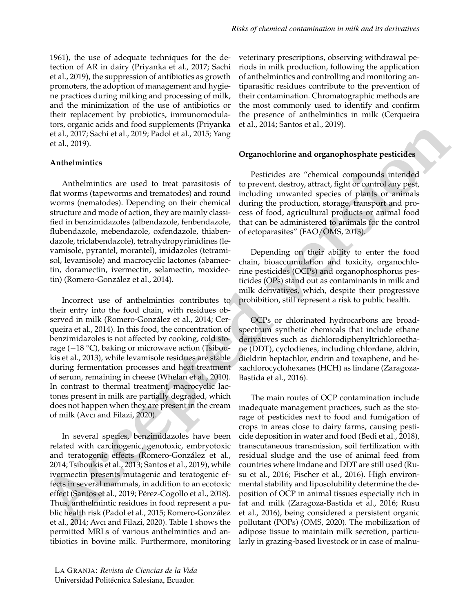[1961\)](#page-9-4), the use of adequate techniques for the detection of AR in dairy [\(Priyanka et al.,](#page-12-2) [2017;](#page-12-2) [Sachi](#page-12-5) [et al.,](#page-12-5) [2019\)](#page-12-5), the suppression of antibiotics as growth promoters, the adoption of management and hygiene practices during milking and processing of milk, and the minimization of the use of antibiotics or their replacement by probiotics, immunomodulators, organic acids and food supplements [\(Priyanka](#page-12-2) [et al.,](#page-12-2) [2017;](#page-12-2) [Sachi et al.,](#page-12-5) [2019;](#page-12-5) [Padol et al.,](#page-11-9) [2015;](#page-11-9) [Yang](#page-13-3) [et al.,](#page-13-3) [2019\)](#page-13-3).

#### **Anthelmintics**

Anthelmintics are used to treat parasitosis of flat worms (tapeworms and trematodes) and round worms (nematodes). Depending on their chemical structure and mode of action, they are mainly classified in benzimidazoles (albendazole, fenbendazole, flubendazole, mebendazole, oxfendazole, thiabendazole, triclabendazole), tetrahydropyrimidines (levamisole, pyrantel, morantel), imidazoles (tetramisol, levamisole) and macrocyclic lactones (abamectin, doramectin, ivermectin, selamectin, moxidectin) [\(Romero-González et al.,](#page-12-6) [2014\)](#page-12-6).

Incorrect use of anthelmintics contributes to their entry into the food chain, with residues observed in milk (Romero-González et al., 2014; Cerqueira et al., 2014). In this food, the concentration of benzimidazoles is not affected by cooking, cold storage (−18 ◦C), baking or microwave action (Tsiboukis et al., 2013), while levamisole residues are stable during fermentation processes and heat treatment of serum, remaining in cheese (Whelan et al., 2010). In contrast to thermal treatment, macrocyclic lactones present in milk are partially degraded, which does not happen when they are present in the cream of milk (Avcı and Filazi, 2020).

In several species, benzimidazoles have been related with carcinogenic, genotoxic, embryotoxic and teratogenic effects (Romero-González et al., 2014; Tsiboukis et al., 2013; Santos et al., 2019), while ivermectin presents mutagenic and teratogenic effects in several mammals, in addition to an ecotoxic effect (Santos et al., 2019; Pérez-Cogollo et al., 2018). Thus, anthelmintic residues in food represent a public health risk (Padol et al., 2015; Romero-González et al., 2014; Avcı and Filazi, 2020). Table 1 shows the permitted MRLs of various anthelmintics and antibiotics in bovine milk. Furthermore, monitoring

veterinary prescriptions, observing withdrawal periods in milk production, following the application of anthelmintics and controlling and monitoring antiparasitic residues contribute to the prevention of their contamination. Chromatographic methods are the most commonly used to identify and confirm the presence of anthelmintics in milk [\(Cerqueira](#page-10-3) [et al.,](#page-10-3) [2014;](#page-10-3) [Santos et al.,](#page-12-8) [2019\)](#page-12-8).

#### **Organochlorine and organophosphate pesticides**

Pesticides are "chemical compounds intended to prevent, destroy, attract, fight or control any pest, including unwanted species of plants or animals during the production, storage, transport and process of food, agricultural products or animal food that can be administered to animals for the control of ectoparasites" (FAO/OMS, 2013).

Depending on their ability to enter the food chain, bioaccumulation and toxicity, organochlorine pesticides (OCPs) and organophosphorus pesticides (OPs) stand out as contaminants in milk and milk derivatives, which, despite their progressive prohibition, still represent a risk to public health.

OCPs or chlorinated hydrocarbons are broadspectrum synthetic chemicals that include ethane derivatives such as dichlorodiphenyltrichloroethane (DDT), cyclodienes, including chlordane, aldrin, dieldrin heptachlor, endrin and toxaphene, and hexachlorocyclohexanes (HCH) as lindane [\(Zaragoza-](#page-13-5)[Bastida et al.,](#page-13-5) [2016\)](#page-13-5).

to [e](#page-12-7)xample an[d](#page-10-3) the start of the start of the start of the start of the start of the start of the start of the start of the start of the start of the start of the start of the start of the start of the start of the start of The main routes of OCP contamination include inadequate management practices, such as the storage of pesticides next to food and fumigation of crops in areas close to dairy farms, causing pesticide deposition in water and food [\(Bedi et al.,](#page-9-6) [2018\)](#page-9-6), transcutaneous transmission, soil fertilization with residual sludge and the use of animal feed from countries where lindane and DDT are still used [\(Ru](#page-12-10)su et al., [2016;](#page-12-10) [Fischer et al.,](#page-10-5) [2016\)](#page-10-5). High environmental stability and liposolubility determine the deposition of OCP in animal tissues especially rich in fat and milk [\(Zaragoza-Bastida et al.,](#page-13-5) [2016;](#page-13-5) [Rusu](#page-12-10) et al., [2016\)](#page-12-10), being considered a persistent organic pollutant (POPs) [\(OMS,](#page-11-10) [2020\)](#page-11-10). The mobilization of adipose tissue to maintain milk secretion, particularly in grazing-based livestock or in case of malnu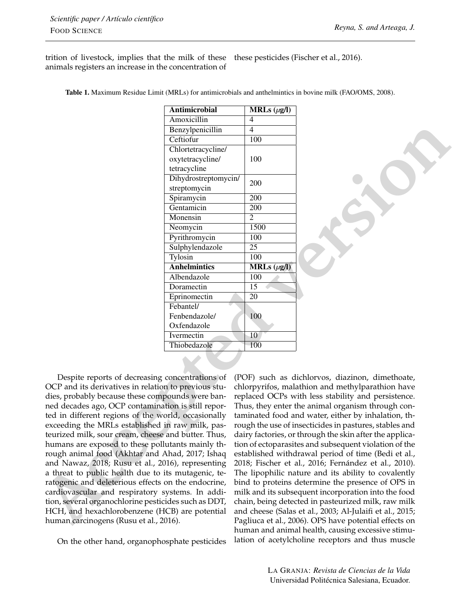trition of livestock, implies that the milk of these animals registers an increase in the concentration of these pesticides [\(Fischer et al.,](#page-10-5) [2016\)](#page-10-5).

|                                                                                                                                                                                                                          | Antimicrobial        | MRLs $(\mu g/I)$                                         |                                                       |  |
|--------------------------------------------------------------------------------------------------------------------------------------------------------------------------------------------------------------------------|----------------------|----------------------------------------------------------|-------------------------------------------------------|--|
|                                                                                                                                                                                                                          | Amoxicillin          | 4                                                        |                                                       |  |
|                                                                                                                                                                                                                          | Benzylpenicillin     | $\overline{4}$                                           |                                                       |  |
|                                                                                                                                                                                                                          | Ceftiofur            | 100                                                      |                                                       |  |
|                                                                                                                                                                                                                          | Chlortetracycline/   |                                                          |                                                       |  |
|                                                                                                                                                                                                                          | oxytetracycline/     | 100                                                      |                                                       |  |
|                                                                                                                                                                                                                          | tetracycline         |                                                          |                                                       |  |
|                                                                                                                                                                                                                          | Dihydrostreptomycin/ | 200                                                      |                                                       |  |
|                                                                                                                                                                                                                          | streptomycin         |                                                          |                                                       |  |
|                                                                                                                                                                                                                          | Spiramycin           | 200                                                      |                                                       |  |
|                                                                                                                                                                                                                          | Gentamicin           | 200                                                      |                                                       |  |
|                                                                                                                                                                                                                          | Monensin             | 2                                                        |                                                       |  |
|                                                                                                                                                                                                                          | Neomycin             | 1500                                                     |                                                       |  |
|                                                                                                                                                                                                                          | Pyrithromycin        | 100                                                      |                                                       |  |
|                                                                                                                                                                                                                          | Sulphylendazole      | 25                                                       |                                                       |  |
|                                                                                                                                                                                                                          | Tylosin              | 100                                                      |                                                       |  |
|                                                                                                                                                                                                                          | <b>Anhelmintics</b>  | MRLs $(\mu g/l)$                                         |                                                       |  |
|                                                                                                                                                                                                                          | Albendazole          | 100                                                      |                                                       |  |
|                                                                                                                                                                                                                          | Doramectin           | $\overline{15}$                                          |                                                       |  |
|                                                                                                                                                                                                                          | Eprinomectin         | 20                                                       |                                                       |  |
|                                                                                                                                                                                                                          | Febantel/            |                                                          |                                                       |  |
|                                                                                                                                                                                                                          | Fenbendazole/        | 100                                                      |                                                       |  |
|                                                                                                                                                                                                                          | Oxfendazole          |                                                          |                                                       |  |
|                                                                                                                                                                                                                          | Ivermectin           | 10                                                       |                                                       |  |
|                                                                                                                                                                                                                          | Thiobedazole         | 100                                                      |                                                       |  |
|                                                                                                                                                                                                                          |                      |                                                          |                                                       |  |
|                                                                                                                                                                                                                          |                      |                                                          |                                                       |  |
| Despite reports of decreasing concentrations of                                                                                                                                                                          |                      |                                                          | (POF) such as dichlorvos, diazinon, dimethoate,       |  |
| OCP and its derivatives in relation to previous stu-<br>chlorpyrifos, malathion and methylparathion have                                                                                                                 |                      |                                                          |                                                       |  |
| dies, probably because these compounds were ban-<br>replaced OCPs with less stability and persistence.                                                                                                                   |                      |                                                          |                                                       |  |
| ned decades ago, OCP contamination is still repor-<br>Thus, they enter the animal organism through con-                                                                                                                  |                      |                                                          |                                                       |  |
| ted in different regions of the world, occasionally<br>taminated food and water, either by inhalation, th-<br>exceeding the MRLs established in raw milk, pas-<br>rough the use of insecticides in pastures, stables and |                      |                                                          |                                                       |  |
|                                                                                                                                                                                                                          |                      |                                                          |                                                       |  |
| humans are exposed to these pollutants mainly th-                                                                                                                                                                        |                      |                                                          | tion of ectoparasites and subsequent violation of the |  |
| rough animal food (Akhtar and Ahad, 2017; Ishaq                                                                                                                                                                          |                      | established withdrawal period of time (Bedi et al.,      |                                                       |  |
| and Nawaz, 2018; Rusu et al., 2016), representing                                                                                                                                                                        |                      |                                                          | 2018; Fischer et al., 2016; Fernández et al., 2010).  |  |
| a threat to public health due to its mutagenic, te-                                                                                                                                                                      |                      |                                                          | The lipophilic nature and its ability to covalently   |  |
| ratogenic and deleterious effects on the endocrine,                                                                                                                                                                      |                      |                                                          | bind to proteins determine the presence of OPS in     |  |
| cardiovascular and respiratory systems. In addi-                                                                                                                                                                         |                      |                                                          | milk and its subsequent incorporation into the food   |  |
| tion, several organochlorine pesticides such as DDT,                                                                                                                                                                     |                      |                                                          | chain, being detected in pasteurized milk, raw milk   |  |
| HCH, and hexachlorobenzene (HCB) are potential                                                                                                                                                                           |                      | and cheese (Salas et al., 2003; Al-Julaifi et al., 2015; |                                                       |  |
| human carcinogens (Rusu et al., 2016).                                                                                                                                                                                   |                      | Pagliuca et al., 2006). OPS have potential effects on    |                                                       |  |

On the other hand, organophosphate pesticides

(POF) such as dichlorvos, diazinon, dimethoate, chlorpyrifos, malathion and methylparathion have replaced OCPs with less stability and persistence. Thus, they enter the animal organism through contaminated food and water, either by inhalation, through the use of insecticides in pastures, stables and dairy factories, or through the skin after the application of ectoparasites and subsequent violation of the established withdrawal period of time [\(Bedi et al.,](#page-9-6) 2018; [Fischer et al.,](#page-10-5) [2016;](#page-10-5) [Fernández et al.,](#page-10-7) [2010\)](#page-10-7). The lipophilic nature and its ability to covalently bind to proteins determine the presence of OPS in milk and its subsequent incorporation into the food chain, being detected in pasteurized milk, raw milk and cheese [\(Salas et al.,](#page-12-11) [2003;](#page-12-11) [Al-Julaifi et al.,](#page-9-7) [2015;](#page-9-7) [Pagliuca et al.,](#page-12-12) [2006\)](#page-12-12). OPS have potential effects on human and animal health, causing excessive stimulation of acetylcholine receptors and thus muscle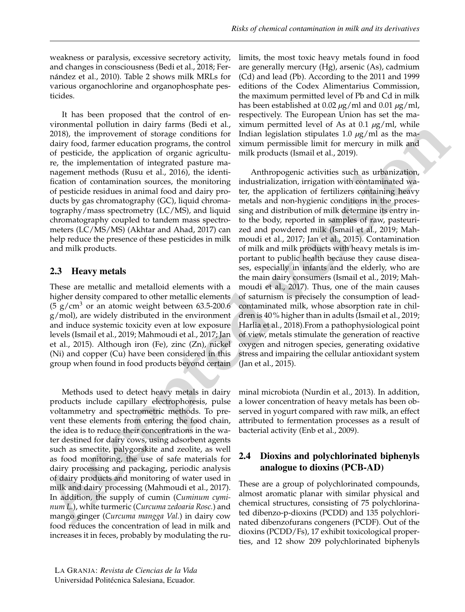weakness or paralysis, excessive secretory activity, and changes in consciousness [\(Bedi et al.,](#page-9-6) [2018;](#page-9-6) [Fer](#page-10-7)[nández et al.,](#page-10-7) [2010\)](#page-10-7). Table 2 shows milk MRLs for various organochlorine and organophosphate pesticides.

It has been proposed that the control of environmental pollution in dairy farms [\(Bedi et al.,](#page-9-6) [2018\)](#page-9-6), the improvement of storage conditions for dairy food, farmer education programs, the control of pesticide, the application of organic agriculture, the implementation of integrated pasture management methods [\(Rusu et al.,](#page-12-10) [2016\)](#page-12-10), the identification of contamination sources, the monitoring of pesticide residues in animal food and dairy products by gas chromatography (GC), liquid chromatography/mass spectrometry (LC/MS), and liquid chromatography coupled to tandem mass spectrometers (LC/MS/MS) [\(Akhtar and Ahad,](#page-9-0) [2017\)](#page-9-0) can help reduce the presence of these pesticides in milk and milk products.

#### 2.3 Heavy metals

These are metallic and metalloid elements with a higher density compared to other metallic elements  $(5 \text{ g/cm}^3 \text{ or an atomic weight between } 63.5\text{-}200.6$ g/mol), are widely distributed in the environment and induce systemic toxicity even at low exposure levels (Ismail et al., 2019; Mahmoudi et al., 2017; Jan et al., 2015). Although iron (Fe), zinc (Zn), nickel (Ni) and copper (Cu) have been considered in this group when found in food products beyond certain

Methods used to detect heavy metals in dairy products include capillary electrophoresis, pulse voltammetry and spectrometric methods. To prevent these elements from entering the food chain, the idea is to reduce their concentrations in the water destined for dairy cows, using adsorbent agents such as smectite, palygorskite and zeolite, as well as food monitoring, the use of safe materials for dairy processing and packaging, periodic analysis of dairy products and monitoring of water used in milk and dairy processing (Mahmoudi et al., 2017). In addition, the supply of cumin (*Cuminum cyminum L.*), white turmeric (*Curcuma zedoaria Rosc.*) and mango ginger (*Curcuma mangga Val.*) in dairy cow food reduces the concentration of lead in milk and increases it in feces, probably by modulating the ru-

limits, the most toxic heavy metals found in food are generally mercury (Hg), arsenic (As), cadmium (Cd) and lead (Pb). According to the 2011 and 1999 editions of the Codex Alimentarius Commission, the maximum permitted level of Pb and Cd in milk has been established at 0.02 *µ*g/ml and 0.01 *µ*g/ml, respectively. The European Union has set the maximum permitted level of As at 0.1 *µ*g/ml, while Indian legislation stipulates 1.0 *µ*g/ml as the maximum permissible limit for mercury in milk and milk products (Ismail et al., 2019).

**Acc[e](#page-11-13)pte[d](#page-11-14) in the start of the start and the start and the start and the start and the start and the start and the start and the start and the start and the start and the start and the start and the start and the start and** Anthropogenic activities such as urbanization, industrialization, irrigation with contaminated water, the application of fertilizers containing heavy metals and non-hygienic conditions in the processing and distribution of milk determine its entry into the body, reported in samples of raw, pasteurized and powdered milk (Ismail et al., 2019; Mah[moudi et al.,](#page-11-12) 2017; Jan et al., 2015). Contamination of milk and milk products with heavy metals is important to public health because they cause diseases, especially in infants and the elderly, who are the main dairy consumers (Ismail et al., 2019; Mah[moudi et al.,](#page-11-12) 2017). Thus, one of the main causes of saturnism is precisely the consumption of leadcontaminated milk, whose absorption rate in children is 40% higher than in adults [\(Ismail et al.,](#page-11-3) [2019;](#page-11-3) Harlia et al., [2018\)](#page-11-14).From a pathophysiological point of view, metals stimulate the generation of reactive oxygen and nitrogen species, generating oxidative stress and impairing the cellular antioxidant system (Jan et al., [2015\)](#page-11-13).

minal microbiota [\(Nurdin et al.,](#page-11-15) [2013\)](#page-11-15). In addition, a lower concentration of heavy metals has been observed in yogurt compared with raw milk, an effect attributed to fermentation processes as a result of bacterial activity [\(Enb et al.,](#page-10-8) [2009\)](#page-10-8).

### 2.4 Dioxins and polychlorinated biphenyls analogue to dioxins (PCB-AD)

These are a group of polychlorinated compounds, almost aromatic planar with similar physical and chemical structures, consisting of 75 polychlorinated dibenzo-p-dioxins (PCDD) and 135 polychlorinated dibenzofurans congeners (PCDF). Out of the dioxins (PCDD/Fs), 17 exhibit toxicological properties, and 12 show 209 polychlorinated biphenyls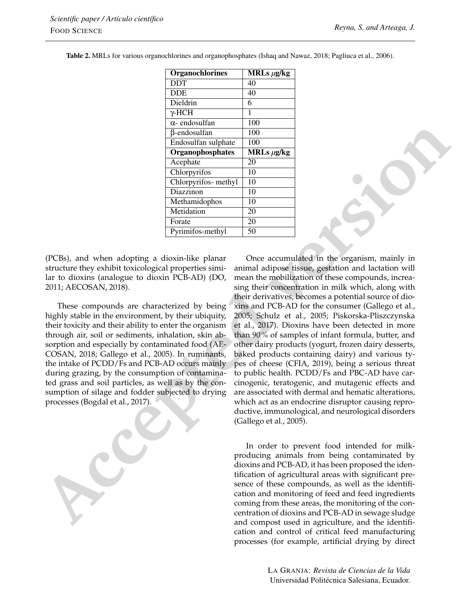| <b>Organochlorines</b> | MRLs $\mu$ g/kg |
|------------------------|-----------------|
| <b>DDT</b>             | 40              |
| <b>DDE</b>             | 40              |
| Dieldrin               | 6               |
| $\gamma$ -HCH          | 1               |
| $\alpha$ - endosulfan  | 100             |
| β-endosulfan           | 100             |
| Endosulfan sulphate    | 100             |
| Organophosphates       | MRLs $\mu$ g/kg |
| Acephate               | 20              |
| Chlorpyrifos           | 10              |
| Chlorpyrifos- methyl   | 10              |
| Diazzinon              | 10              |
| Methamidophos          | 10              |
| Metidation             | 20              |
| Forate                 | 20              |
| Pyrimifos-methyl       | 50              |

Table 2. MRLs for various organochlorines and organophosphates [\(Ishaq and Nawaz,](#page-11-11) [2018;](#page-11-11) [Pagliuca et al.,](#page-12-12) [2006\)](#page-12-12).

(PCBs), and when adopting a dioxin-like planar structure they exhibit toxicological properties similar to dioxins (analogue to dioxin PCB-AD) [\(DO,](#page-10-9) [2011;](#page-10-9) [AECOSAN,](#page-9-8) [2018\)](#page-9-8).

These compounds are characterized by being highly stable in the environment, by their ubiquity, their toxicity and their ability to enter the organism through air, soil or sediments, inhalation, skin absorption and especially by contaminated food (AE-COSAN, 2018; Gallego et al., 2005). In ruminants, the intake of PCDD/Fs and PCB-AD occurs mainly during grazing, by the consumption of contaminated grass and soil particles, as well as by the consumption of silage and fodder subjected to drying processes (Bogdal et al., 2017).

**Acc[e](#page-10-10)p[te](#page-9-8)[d](#page-11-16) version** Once accumulated in the organism, mainly in animal adipose tissue, gestation and lactation will mean the mobilization of these compounds, increasing their concentration in milk which, along with their derivatives, becomes a potential source of dioxins and PCB-AD for the consumer [\(Gallego et al.,](#page-11-16) 2005; [Schulz et al.,](#page-12-13) [2005;](#page-12-13) [Piskorska-Pliszczynska](#page-12-14) et al., 2017). Dioxins have been detected in more than 90% of samples of infant formula, butter, and other dairy products (yogurt, frozen dairy desserts, baked products containing dairy) and various types of cheese [\(CFIA,](#page-10-11) [2019\)](#page-10-11), being a serious threat to public health. PCDD/Fs and PBC-AD have carcinogenic, teratogenic, and mutagenic effects and are associated with dermal and hematic alterations, which act as an endocrine disruptor causing reproductive, immunological, and neurological disorders [\(Gallego et al.,](#page-11-16) [2005\)](#page-11-16).

In order to prevent food intended for milkproducing animals from being contaminated by dioxins and PCB-AD, it has been proposed the identification of agricultural areas with significant presence of these compounds, as well as the identification and monitoring of feed and feed ingredients coming from these areas, the monitoring of the concentration of dioxins and PCB-AD in sewage sludge and compost used in agriculture, and the identification and control of critical feed manufacturing processes (for example, artificial drying by direct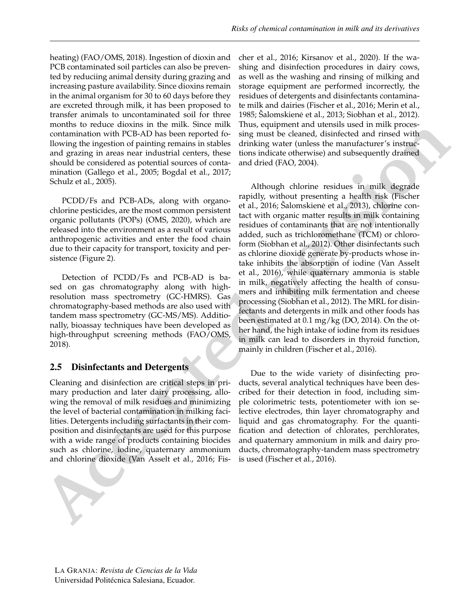heating) [\(FAO/OMS,](#page-10-12) [2018\)](#page-10-12). Ingestion of dioxin and PCB contaminated soil particles can also be prevented by reduciing animal density during grazing and increasing pasture availability. Since dioxins remain in the animal organism for 30 to 60 days before they are excreted through milk, it has been proposed to transfer animals to uncontaminated soil for three months to reduce dioxins in the milk. Since milk contamination with PCB-AD has been reported following the ingestion of painting remains in stables and grazing in areas near industrial centers, these should be considered as potential sources of contamination [\(Gallego et al.,](#page-11-16) [2005;](#page-11-16) [Bogdal et al.,](#page-10-10) [2017;](#page-10-10) [Schulz et al.,](#page-12-13) [2005\)](#page-12-13).

PCDD/Fs and PCB-ADs, along with organochlorine pesticides, are the most common persistent organic pollutants (POPs) [\(OMS,](#page-11-10) [2020\)](#page-11-10), which are released into the environment as a result of various anthropogenic activities and enter the food chain due to their capacity for transport, toxicity and persistence (Figure 2).

Detection of PCDD/Fs and PCB-AD is based on gas chromatography along with highresolution mass spectrometry (GC-HMRS). Gas chromatography-based methods are also used with tandem mass spectrometry (GC-MS/MS). Additionally, bioassay techniques have been developed as high-throughput screening methods (FAO/OMS, 2018).

### 2.5 Disinfectants and Detergents

Cleaning and disinfection are critical steps in primary production and later dairy processing, allowing the removal of milk residues and minimizing the level of bacterial contamination in milking facilities. Detergents including surfactants in their composition and disinfectants are used for this purpose with a wide range of products containing biocides such as chlorine, iodine, quaternary ammonium and chlorine dioxide (Van Asselt et al., 2016; Fis-



**EXERCTS** in the [si](#page-12-15)ngurati[o](#page-10-5)n of the limit singular matrix (singular matrix in the singular matrix (singular matrix in the singular matrix (singular matrix in the singular matrix (singular matrix in the singular matrix and Although chlorine residues in milk degrade rapidly, without presenting a health risk (Fischer [et al.,](#page-10-5) [2016;](#page-10-5) Šalomskienė et al., 2013), chlorine contact with organic matter results in milk containing residues of contaminants that are not intentionally added, such as trichloromethane (TCM) or chloroform [\(Siobhan et al.,](#page-12-16) 2012). Other disinfectants such as chlorine dioxide generate by-products whose intake inhibits the absorption of iodine (Van Asselt [et al.,](#page-13-1) [2016\)](#page-13-1), while quaternary ammonia is stable in milk, negatively affecting the health of consumers and inhibiting milk fermentation and cheese processing (Siobhan et al., 2012). The MRL for disinfectants and detergents in milk and other foods has been estimated at 0.1 mg/kg [\(DO,](#page-10-14) [2014\)](#page-10-14). On the other hand, the high intake of iodine from its residues in milk can lead to disorders in thyroid function, mainly in children [\(Fischer et al.,](#page-10-5) [2016\)](#page-10-5).

Due to the wide variety of disinfecting products, several analytical techniques have been described for their detection in food, including simple colorimetric tests, potentiometer with ion selective electrodes, thin layer chromatography and liquid and gas chromatography. For the quantification and detection of chlorates, perchlorates, and quaternary ammonium in milk and dairy products, chromatography-tandem mass spectrometry is used [\(Fischer et al.,](#page-10-5) [2016\)](#page-10-5).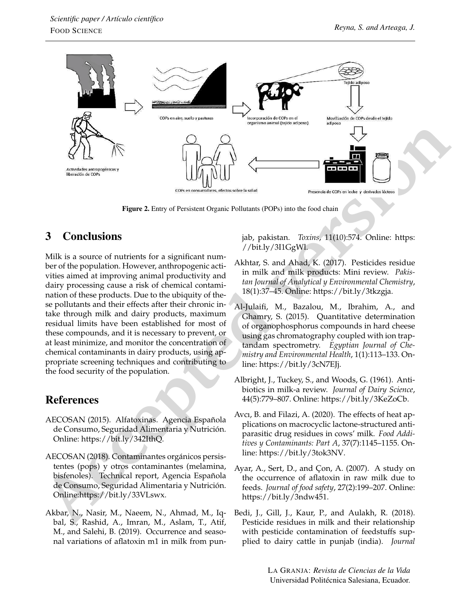

Figure 2. Entry of Persistent Organic Pollutants (POPs) into the food chain

# 3 Conclusions

Milk is a source of nutrients for a significant number of the population. However, anthropogenic activities aimed at improving animal productivity and dairy processing cause a risk of chemical contamination of these products. Due to the ubiquity of these pollutants and their effects after their chronic intake through milk and dairy products, maximum residual limits have been established for most of these compounds, and it is necessary to prevent, or at least minimize, and monitor the concentration of chemical contaminants in dairy products, using appropriate screening techniques and contributing to the food security of the population.

## References

- <span id="page-9-2"></span>AECOSAN (2015). Alfatoxinas. Agencia Española de Consumo, Seguridad Alimentaria y Nutrición. Online: https://bit.ly/342IthQ.
- <span id="page-9-8"></span>AECOSAN (2018). Contaminantes orgánicos persistentes (pops) y otros contaminantes (melamina, bisfenoles). Technical report, Agencia Española de Consumo, Seguridad Alimentaria y Nutrición. Online:https://bit.ly/33VLswx.
- <span id="page-9-3"></span>Akbar, N., Nasir, M., Naeem, N., Ahmad, M., Iqbal, S., Rashid, A., Imran, M., Aslam, T., Atif, M., and Salehi, B. (2019). Occurrence and seasonal variations of aflatoxin m1 in milk from pun-

jab, pakistan. *Toxins*, 11(10):574. Online: https: [//bit.ly/3I1GgWl.](https://bit.ly/3I1GgWl)

- <span id="page-9-0"></span>Akhtar, S. and Ahad, K. (2017). Pesticides residue in milk and milk products: Mini review. *Pakistan Journal of Analytical y Environmental Chemistry*, 18(1):37–45. Online: https://bit.ly/3tkzgja.
- <span id="page-9-7"></span>Al-Julaifi, M., Bazalou, M., Ibrahim, A., and Ghamry, S. (2015). Quantitative determination of organophosphorus compounds in hard cheese using gas chromatography coupled with ion traptandam spectrometry. *Egyptian Journal of Chemistry and Environmental Health*, 1(1):113–133. Online: [https://bit.ly/3cN7EJj.](https://bit.ly/3cN7EJj)
- <span id="page-9-4"></span>Albright, J., Tuckey, S., and Woods, G. (1961). Antibiotics in milk-a review. *Journal of Dairy Science*, 44(5):779–807. Online: [https://bit.ly/3KeZoCb.](https://bit.ly/3KeZoCb)
- <span id="page-9-5"></span>Avcı, B. and Filazi, A. (2020). The effects of heat applications on macrocyclic lactone-structured antiparasitic drug residues in cows' milk. *Food Additives y Contaminants: Part A*, 37(7):1145–1155. Online: [https://bit.ly/3tok3NV.](https://bit.ly/3tok3NV)
- <span id="page-9-1"></span>Ayar, A., Sert, D., and Çon, A. (2007). A study on the occurrence of aflatoxin in raw milk due to feeds. *Journal of food safety*, 27(2):199–207. Online: [https://bit.ly/3ndw451.](https://bit.ly/3ndw451)
- <span id="page-9-6"></span>Bedi, J., Gill, J., Kaur, P., and Aulakh, R. (2018). Pesticide residues in milk and their relationship with pesticide contamination of feedstuffs supplied to dairy cattle in punjab (india). *Journal*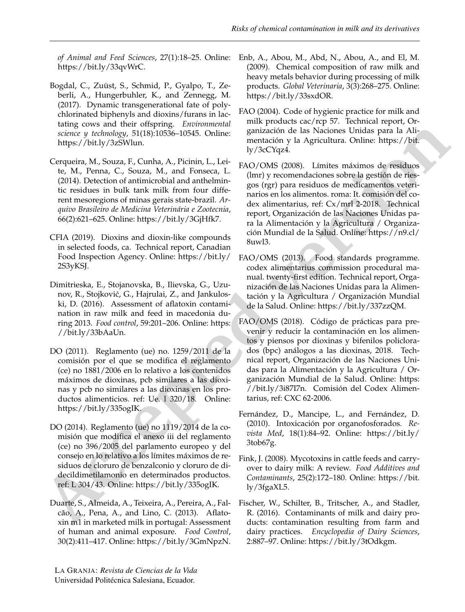[https://bit.ly/33qvWrC.](https://bit.ly/33qvWrC)

- <span id="page-10-10"></span>Bogdal, C., Zuüst, S., Schmid, P., Gyalpo, T., Zeberli, A., Hungerbuhler, K., and Zennegg, M. (2017). Dynamic transgenerational fate of polychlorinated biphenyls and dioxins/furans in lactating cows and their offspring. *Environmental science y technology*, 51(18):10536–10545. Online: [https://bit.ly/3zSWlun.](https://bit.ly/3zSWlun)
- <span id="page-10-6"></span><span id="page-10-3"></span>Cerqueira, M., Souza, F., Cunha, A., Picinin, L., Leite, M., Penna, C., Souza, M., and Fonseca, L. (2014). Detection of antimicrobial and anthelmintic residues in bulk tank milk from four different mesoregions of minas gerais state-brazil. *Arquivo Brasileiro de Medicina Veterinária e Zootecnia*, 66(2):621–625. Online: [https://bit.ly/3GjHfk7.](https://bit.ly/3GjHfk7)
- <span id="page-10-11"></span><span id="page-10-4"></span>CFIA (2019). Dioxins and dioxin-like compounds in selected foods, ca. Technical report, Canadian Food Inspection Agency. Online: [https://bit.ly/](https://bit.ly/2S3yKSJ) [2S3yKSJ.](https://bit.ly/2S3yKSJ)
- <span id="page-10-12"></span><span id="page-10-0"></span>Dimitrieska, E., Stojanovska, B., Ilievska, G., Uzunov, R., Stojković, G., Hajrulai, Z., and Jankuloski, D. (2016). Assessment of aflatoxin contamination in raw milk and feed in macedonia during 2013. *Food control*, 59:201–206. Online: https: //bit.ly/33bAaUn.
- <span id="page-10-9"></span>DO (2011). Reglamento (ue) no. 1259/2011 de la comisión por el que se modifica el reglamento (ce) no 1881/2006 en lo relativo a los contenidos máximos de dioxinas, pcb similares a las dioxinas y pcb no similares a las dioxinas en los productos alimenticios. ref: Ue. l 320/18. Online: https://bit.ly/335ogIK.
- <span id="page-10-14"></span><span id="page-10-7"></span><span id="page-10-2"></span>DO (2014). Reglamento (ue) no 1119/2014 de la comisión que modifica el anexo iii del reglamento (ce) no 396/2005 del parlamento europeo y del consejo en lo relativo a los límites máximos de residuos de cloruro de benzalconio y cloruro de didecildimetilamonio en determinados productos. ref: L 304/43. Online: https://bit.ly/335ogIK.
- <span id="page-10-5"></span><span id="page-10-1"></span>Duarte, S., Almeida, A., Teixeira, A., Pereira, A., Falcão, A., Pena, A., and Lino, C. (2013). Aflatoxin m1 in marketed milk in portugal: Assessment of human and animal exposure. *Food Control*, 30(2):411–417. Online: [https://bit.ly/3GmNpzN.](https://bit.ly/3GmNpzN)

- <span id="page-10-13"></span><span id="page-10-8"></span>*of Animal and Feed Sciences*, 27(1):18–25. Online: Enb, A., Abou, M., Abd, N., Abou, A., and El, M. (2009). Chemical composition of raw milk and heavy metals behavior during processing of milk products. *Global Veterinaria*, 3(3):268–275. Online: [https://bit.ly/33sxdOR.](https://bit.ly/33sxdOR)
	- FAO (2004). Code of hygienic practice for milk and milk products cac/rcp 57. Technical report, Organización de las Naciones Unidas para la Alimentación y la Agricultura. Online: https://bit. [ly/3cCYqz4.](https://bit.ly/3cCYqz4)
	- FAO/OMS (2008). Límites máximos de residuos (lmr) y recomendaciones sobre la gestión de riesgos (rgr) para residuos de medicamentos veterinarios en los alimentos. roma: It. comisión del codex alimentarius, ref: Cx/mrl 2-2018. Technical report, Organización de las Naciones Unidas para la Alimentación y la Agricultura / Organización Mundial de la Salud. Online: https://n9.cl/ [8uwl3.](https://n9.cl/8uwl3)
	- FAO/OMS (2013). Food standards programme. codex alimentarius commission procedural manual. twenty-first edition. Technical report, Organización de las Naciones Unidas para la Alimentación y la Agricultura / Organización Mundial de la Salud. Online: https://bit.ly/337zzQM.
- **Acc[e](https://bit.ly/335ogIK)[s](https://n9.cl/8uwl3)** Base an[d](https://bit.ly/33bAaUn) the scatteri[n](https://bit.ly/3cCYqz4)g Engine Solution (application de la Nicolas Base and Allie (application de la Nicolas Base and Allie Cappelins Muslim (application specific de la Nicolas Base and Allie Cappelin (b). Solutio FAO/OMS (2018). Código de prácticas para prevenir y reducir la contaminación en los alimentos y piensos por dioxinas y bifenilos policlorados (bpc) análogos a las dioxinas, 2018. Technical report, Organización de las Naciones Unidas para la Alimentación y la Agricultura / Organización Mundial de la Salud. Online: [https:](https://bit.ly/3i87I7n) [//bit.ly/3i87I7n.](https://bit.ly/3i87I7n) Comisión del Codex Alimentarius, ref: CXC 62-2006.
	- Fernández, D., Mancipe, L., and Fernández, D. (2010). Intoxicación por organofosforados. *Revista Med*, 18(1):84–92. Online: [https://bit.ly/](https://bit.ly/3tob67g) 3tob67g.
	- Fink, J. (2008). Mycotoxins in cattle feeds and carryover to dairy milk: A review. *Food Additives and Contaminants*, 25(2):172–180. Online: [https://bit.](https://bit.ly/3fgaXL5) [ly/3fgaXL5.](https://bit.ly/3fgaXL5)
	- Fischer, W., Schilter, B., Tritscher, A., and Stadler, R. (2016). Contaminants of milk and dairy products: contamination resulting from farm and dairy practices. *Encyclopedia of Dairy Sciences*, 2:887–97. Online: [https://bit.ly/3tOdkgm.](https://bit.ly/3tOdkgm)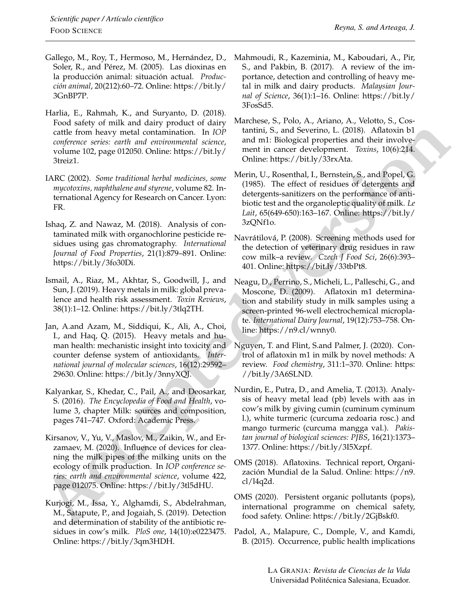- <span id="page-11-16"></span>Gallego, M., Roy, T., Hermoso, M., Hernández, D., Soler, R., and Pérez, M. (2005). Las dioxinas en la producción animal: situación actual. *Producción animal*, 20(212):60–72. Online: [https://bit.ly/](https://bit.ly/3GnBP7P) [3GnBP7P.](https://bit.ly/3GnBP7P)
- <span id="page-11-14"></span>Harlia, E., Rahmah, K., and Suryanto, D. (2018). Food safety of milk and dairy product of dairy cattle from heavy metal contamination. In *IOP conference series: earth and environmental science*, volume 102, page 012050. Online: [https://bit.ly/](https://bit.ly/3treiz1) [3treiz1.](https://bit.ly/3treiz1)
- <span id="page-11-4"></span>IARC (2002). *Some traditional herbal medicines, some mycotoxins, naphthalene and styrene*, volume 82. International Agency for Research on Cancer. Lyon: FR.
- <span id="page-11-11"></span>Ishaq, Z. and Nawaz, M. (2018). Analysis of contaminated milk with organochlorine pesticide residues using gas chromatography. *International Journal of Food Properties*, 21(1):879–891. Online: [https://bit.ly/3fo30Di.](https://bit.ly/3fo30Di)
- <span id="page-11-3"></span>Ismail, A., Riaz, M., Akhtar, S., Goodwill, J., and Sun, J. (2019). Heavy metals in milk: global prevalence and health risk assessment. *Toxin Reviews*, 38(1):1–12. Online: https://bit.ly/3tlq2TH.
- <span id="page-11-13"></span>Jan, A.and Azam, M., Siddiqui, K., Ali, A., Choi, I., and Haq, Q. (2015). Heavy metals and human health: mechanistic insight into toxicity and counter defense system of antioxidants. *International journal of molecular sciences*, 16(12):29592– 29630. Online: https://bit.ly/3nnyXQJ.
- <span id="page-11-0"></span>Kalyankar, S., Khedar, C., Pail, A., and Deosarkar, S. (2016). *The Encyclopedia of Food and Health*, volume 3, chapter Milk: sources and composition, pages 741–747. Oxford: Academic Press.
- <span id="page-11-17"></span>Kirsanov, V., Yu, V., Maslov, M., Zaikin, W., and Erzamaev, M. (2020). Influence of devices for cleaning the milk pipes of the milking units on the ecology of milk production. In *IOP conference series: earth and environmental science*, volume 422, page 012075. Online: https://bit.ly/3tl5dHU.
- <span id="page-11-9"></span><span id="page-11-7"></span>Kurjogi, M., Issa, Y., Alghamdi, S., Abdelrahman, M., Satapute, P., and Jogaiah, S. (2019). Detection and determination of stability of the antibiotic residues in cow's milk. *PloS one*, 14(10):e0223475. Online: [https://bit.ly/3qm3HDH.](https://bit.ly/3qm3HDH)
- <span id="page-11-12"></span>Mahmoudi, R., Kazeminia, M., Kaboudari, A., Pir, S., and Pakbin, B. (2017). A review of the importance, detection and controlling of heavy metal in milk and dairy products. *Malaysian Journal of Science*, 36(1):1–16. Online: [https://bit.ly/](https://bit.ly/3FosSd5) [3FosSd5.](https://bit.ly/3FosSd5)
- <span id="page-11-5"></span>Marchese, S., Polo, A., Ariano, A., Velotto, S., Costantini, S., and Severino, L. (2018). Aflatoxin b1 and m1: Biological properties and their involvement in cancer development. *Toxins*, 10(6):214. Online: https://bit.ly/33rxAta.
- <span id="page-11-18"></span>Merin, U., Rosenthal, I., Bernstein, S., and Popel, G. (1985). The effect of residues of detergents and detergents-sanitizers on the performance of antibiotic test and the organoleptic quality of milk. *Le Lait*, 65(649-650):163–167. Online: https://bit.ly/ [3zQNf1o.](https://bit.ly/3zQNf1o)
- <span id="page-11-8"></span>Navrátilová, P. (2008). Screening methods used for the detection of veterinary drug residues in raw cow milk–a review. *Czech J Food Sci*, 26(6):393– 401. Online: https://bit.ly/33tbPt8.
- <span id="page-11-6"></span>Neagu, D., Perrino, S., Micheli, L., Palleschi, G., and Moscone, D. (2009). Aflatoxin m1 determination and stability study in milk samples using a screen-printed 96-well electrochemical microplate. *International Dairy Journal*, 19(12):753–758. Online: [https://n9.cl/wnny0.](https://n9.cl/wnny0)
- <span id="page-11-15"></span><span id="page-11-10"></span><span id="page-11-2"></span><span id="page-11-1"></span>Nguyen, T. and Flint, S.and Palmer, J. (2020). Control of aflatoxin m1 in milk by novel methods: A review. *Food chemistry*, 311:1–370. Online: [https:](https://bit.ly/3A6SLND) [//bit.ly/3A6SLND.](https://bit.ly/3A6SLND)
- [c](https://bit.ly/3tl5dHU)alle from heavy metal contribution. In (ii)<sup>8</sup> tantiful, S, and Secretion, L, (2013). Adiabach blanch and the street in the street in the street in the street in the street in the street in the street in the street in the Nurdin, E., Putra, D., and Amelia, T. (2013). Analysis of heavy metal lead (pb) levels with aas in cow's milk by giving cumin (cuminum cyminum l.), white turmeric (curcuma zedoaria rosc.) and mango turmeric (curcuma mangga val.). *Pakistan journal of biological sciences: PJBS*, 16(21):1373– 1377. Online: [https://bit.ly/3I5Xzpf.](https://bit.ly/3I5Xzpf)
	- OMS (2018). Aflatoxins. Technical report, Organización Mundial de la Salud. Online: [https://n9.](https://n9.cl/l4q2d) cl/l4q2d.
	- OMS (2020). Persistent organic pollutants (pops), international programme on chemical safety, food safety. Online: [https://bit.ly/2GjBskf0.](https://bit.ly/2GjBskf0)
	- Padol, A., Malapure, C., Domple, V., and Kamdi, B. (2015). Occurrence, public health implications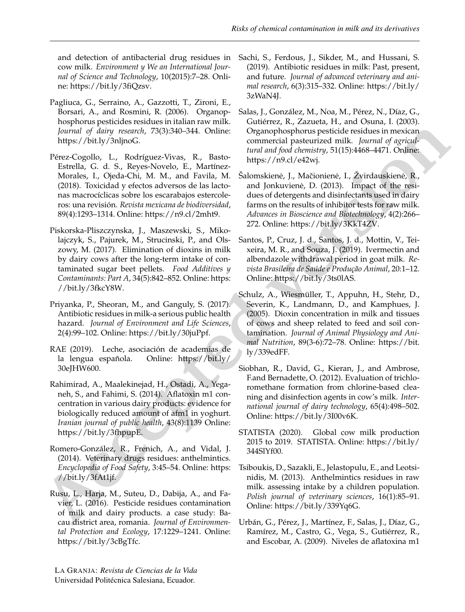and detection of antibacterial drug residues in cow milk. *Environment y We an International Journal of Science and Technology*, 10(2015):7–28. Online: [https://bit.ly/3fiQzsv.](https://bit.ly/3fiQzsv)

- <span id="page-12-12"></span>Pagliuca, G., Serraino, A., Gazzotti, T., Zironi, E., Borsari, A., and Rosmini, R. (2006). Organophosphorus pesticides residues in italian raw milk. *Journal of dairy research*, 73(3):340–344. Online: [https://bit.ly/3nljnoG.](https://bit.ly/3nljnoG)
- <span id="page-12-9"></span>Pérez-Cogollo, L., Rodríguez-Vivas, R., Basto-Estrella, G. d. S., Reyes-Novelo, E., Martínez-Morales, I., Ojeda-Chi, M. M., and Favila, M. (2018). Toxicidad y efectos adversos de las lactonas macrocíclicas sobre los escarabajos estercoleros: una revisión. *Revista mexicana de biodiversidad*, 89(4):1293–1314. Online: [https://n9.cl/2mht9.](https://n9.cl/2mht9)
- <span id="page-12-14"></span>Piskorska-Pliszczynska, J., Maszewski, S., Mikolajczyk, S., Pajurek, M., Strucinski, P., and Olszowy, M. (2017). Elimination of dioxins in milk by dairy cows after the long-term intake of contaminated sugar beet pellets. *Food Additives y Contaminants: Part A*, 34(5):842–852. Online: [https:](https://bit.ly/3fkcY8W) [//bit.ly/3fkcY8W.](https://bit.ly/3fkcY8W)
- <span id="page-12-2"></span>Priyanka, P., Sheoran, M., and Ganguly, S. (2017). Antibiotic residues in milk-a serious public health hazard. *Journal of Environment and Life Sciences*, 2(4):99–102. Online: https://bit.ly/30juPpf.
- <span id="page-12-0"></span>RAE (2019). Leche, asociación de academias de la lengua española. Online: https://bit.ly/ 30eJHW600.
- <span id="page-12-4"></span>Rahimirad, A., Maalekinejad, H., Ostadi, A., Yeganeh, S., and Fahimi, S. (2014). Aflatoxin m1 concentration in various dairy products: evidence for biologically reduced amount of afm1 in yoghurt. *Iranian journal of public health*, 43(8):1139 Online: https://bit.ly/3fhpupE.
- <span id="page-12-7"></span><span id="page-12-6"></span><span id="page-12-1"></span>Romero-González, R., Frenich, A., and Vidal, J. (2014). Veterinary drugs residues: anthelmintics. *Encyclopedia of Food Safety*, 3:45–54. Online: https: //bit.ly/3fAt1jf.
- <span id="page-12-10"></span><span id="page-12-3"></span>Rusu, L., Harja, M., Suteu, D., Dabija, A., and Favier, L. (2016). Pesticide residues contamination of milk and dairy products. a case study: Bacau district area, romania. *Journal of Environmental Protection and Ecology*, 17:1229–1241. Online: [https://bit.ly/3cBgTfc.](https://bit.ly/3cBgTfc)
- <span id="page-12-5"></span>Sachi, S., Ferdous, J., Sikder, M., and Hussani, S. (2019). Antibiotic residues in milk: Past, present, and future. *Journal of advanced veterinary and animal research*, 6(3):315–332. Online: [https://bit.ly/](https://bit.ly/3zWaN4J) [3zWaN4J.](https://bit.ly/3zWaN4J)
- <span id="page-12-11"></span>Salas, J., González, M., Noa, M., Pérez, N., Díaz, G., Gutiérrez, R., Zazueta, H., and Osuna, I. (2003). Organophosphorus pesticide residues in mexican commercial pasteurized milk. *Journal of agricultural and food chemistry*, 51(15):4468–4471. Online: [https://n9.cl/e42wj.](https://n9.cl/e42wj)
- <span id="page-12-15"></span>Šalomskienė, J., Mačionienė, I., Žvirdauskienė, R., and Jonkuviene, D. (2013). Impact of the residues of detergents and disinfectants used in dairy farms on the results of inhibitor tests for raw milk. *Advances in Bioscience and Biotechnology*, 4(2):266– 272. Online: https://bit.ly/3KkT4ZV.
- <span id="page-12-16"></span><span id="page-12-13"></span><span id="page-12-8"></span>Santos, P., Cruz, J. d., Santos, J. d., Mottin, V., Teixeira, M. R., and Souza, J. (2019). Ivermectin and albendazole withdrawal period in goat milk. *Revista Brasileira de Saúde e Produção Animal*, 20:1–12. Online: https://bit.ly/3ts0lAS.
- **Example 1** (**b** in[te](https://bit.ly/30eJHW600)rproper spectral at the spectral of the spectral contents of the spectral at the spectral points of the spectral at the spectral at the spectral points of the spectral at the spectral points of the spe Schulz, A., Wiesmüller, T., Appuhn, H., Stehr, D., Severin, K., Landmann, D., and Kamphues, J. (2005). Dioxin concentration in milk and tissues of cows and sheep related to feed and soil contamination. *Journal of Animal Physiology and Animal Nutrition*, 89(3-6):72–78. Online: [https://bit.](https://bit.ly/339edFF) [ly/339edFF.](https://bit.ly/339edFF)
	- Siobhan, R., David, G., Kieran, J., and Ambrose, F.and Bernadette, O. (2012). Evaluation of trichloromethane formation from chlorine-based cleaning and disinfection agents in cow's milk. *International journal of dairy technology*, 65(4):498–502. Online: [https://bit.ly/3I00v6K.](https://bit.ly/3I00v6K)
	- STATISTA (2020). Global cow milk production 2015 to 2019. STATISTA. Online: [https://bit.ly/](https://bit.ly/344SlYf00) [344SlYf00.](https://bit.ly/344SlYf00)
	- Tsiboukis, D., Sazakli, E., Jelastopulu, E., and Leotsinidis, M. (2013). Anthelmintics residues in raw milk. assessing intake by a children population. *Polish journal of veterinary sciences*, 16(1):85–91. Online: [https://bit.ly/339Yq6G.](https://bit.ly/339Yq6G)
	- Urbán, G., Pérez, J., Martínez, F., Salas, J., Díaz, G., Ramírez, M., Castro, G., Vega, S., Gutiérrez, R., and Escobar, A. (2009). Niveles de aflatoxina m1